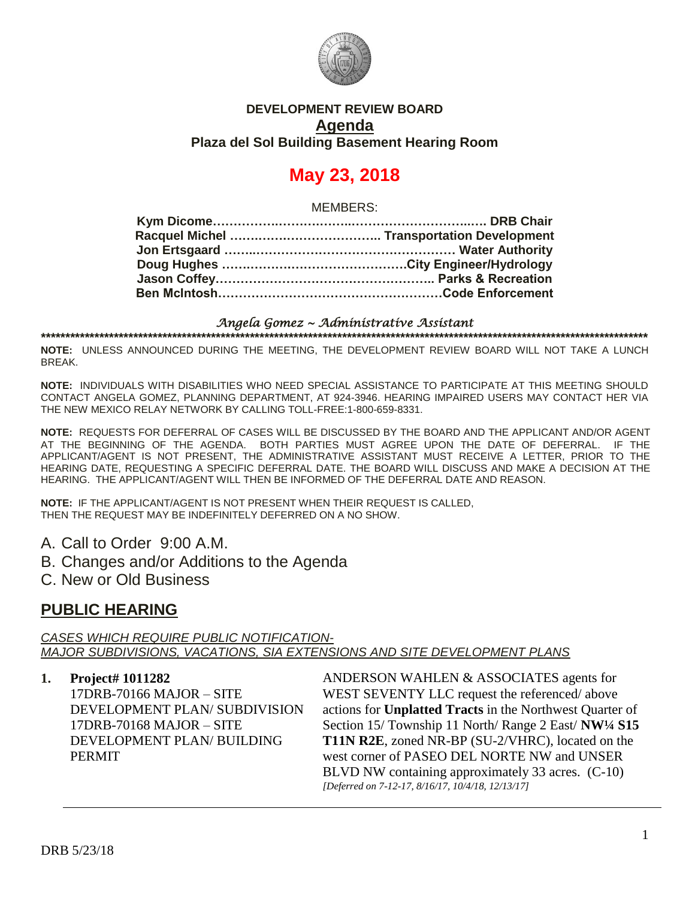

### **DEVELOPMENT REVIEW BOARD Agenda Plaza del Sol Building Basement Hearing Room**

# **May 23, 2018**

MEMBERS:

#### *Angela Gomez ~ Administrative Assistant*  **\*\*\*\*\*\*\*\*\*\*\*\*\*\*\*\*\*\*\*\*\*\*\*\*\*\*\*\*\*\*\*\*\*\*\*\*\*\*\*\*\*\*\*\*\*\*\*\*\*\*\*\*\*\*\*\*\*\*\*\*\*\*\*\*\*\*\*\*\*\*\*\*\*\*\*\*\*\*\*\*\*\*\*\*\*\*\*\*\*\*\*\*\*\*\*\*\*\*\*\*\*\*\*\*\*\*\*\*\*\*\*\*\*\*\*\*\*\*\*\*\*\*\*\*\***

**NOTE:** UNLESS ANNOUNCED DURING THE MEETING, THE DEVELOPMENT REVIEW BOARD WILL NOT TAKE A LUNCH BREAK.

**NOTE:** INDIVIDUALS WITH DISABILITIES WHO NEED SPECIAL ASSISTANCE TO PARTICIPATE AT THIS MEETING SHOULD CONTACT ANGELA GOMEZ, PLANNING DEPARTMENT, AT 924-3946. HEARING IMPAIRED USERS MAY CONTACT HER VIA THE NEW MEXICO RELAY NETWORK BY CALLING TOLL-FREE:1-800-659-8331.

**NOTE:** REQUESTS FOR DEFERRAL OF CASES WILL BE DISCUSSED BY THE BOARD AND THE APPLICANT AND/OR AGENT AT THE BEGINNING OF THE AGENDA. BOTH PARTIES MUST AGREE UPON THE DATE OF DEFERRAL. IF THE APPLICANT/AGENT IS NOT PRESENT, THE ADMINISTRATIVE ASSISTANT MUST RECEIVE A LETTER, PRIOR TO THE HEARING DATE, REQUESTING A SPECIFIC DEFERRAL DATE. THE BOARD WILL DISCUSS AND MAKE A DECISION AT THE HEARING. THE APPLICANT/AGENT WILL THEN BE INFORMED OF THE DEFERRAL DATE AND REASON.

**NOTE:** IF THE APPLICANT/AGENT IS NOT PRESENT WHEN THEIR REQUEST IS CALLED, THEN THE REQUEST MAY BE INDEFINITELY DEFERRED ON A NO SHOW.

- A. Call to Order 9:00 A.M.
- B. Changes and/or Additions to the Agenda
- C. New or Old Business

### **PUBLIC HEARING**

*CASES WHICH REQUIRE PUBLIC NOTIFICATION-MAJOR SUBDIVISIONS, VACATIONS, SIA EXTENSIONS AND SITE DEVELOPMENT PLANS*

#### **1. Project# 1011282**

17DRB-70166 MAJOR – SITE DEVELOPMENT PLAN/ SUBDIVISION 17DRB-70168 MAJOR – SITE DEVELOPMENT PLAN/ BUILDING PERMIT

ANDERSON WAHLEN & ASSOCIATES agents for WEST SEVENTY LLC request the referenced/ above actions for **Unplatted Tracts** in the Northwest Quarter of Section 15/ Township 11 North/ Range 2 East/ **NW¼ S15 T11N R2E**, zoned NR-BP (SU-2/VHRC), located on the west corner of PASEO DEL NORTE NW and UNSER BLVD NW containing approximately 33 acres. (C-10) *[Deferred on 7-12-17, 8/16/17, 10/4/18, 12/13/17]*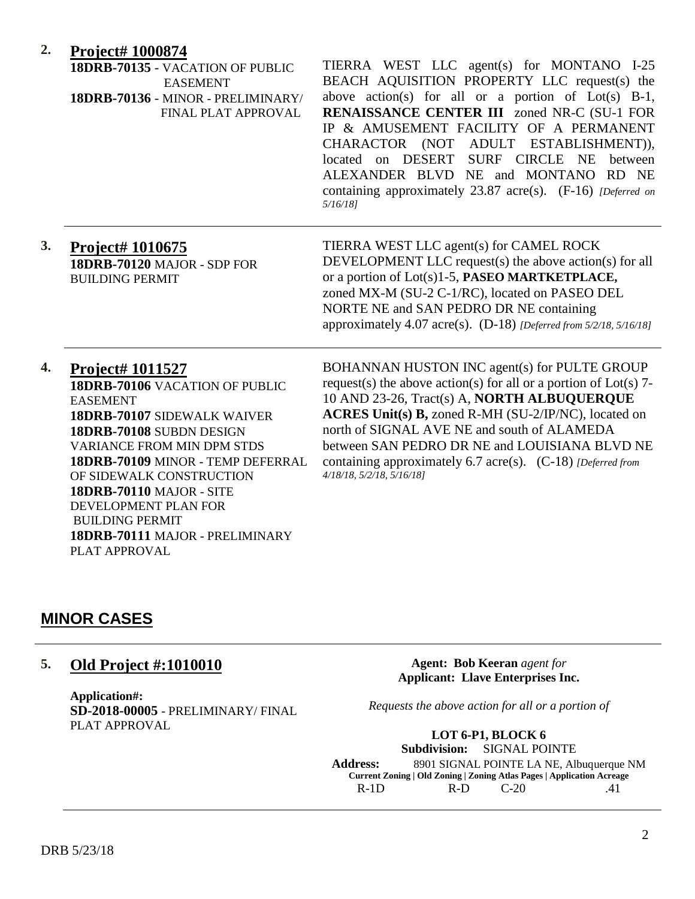### **2. Project# 1000874**

|    | 18DRB-70135 - VACATION OF PUBLIC<br><b>EASEMENT</b><br>18DRB-70136 - MINOR - PRELIMINARY/<br>FINAL PLAT APPROVAL                                                                                                                                                                                                                                                                       | TIERRA WEST LLC agent(s) for MONTANO I-25<br>BEACH AQUISITION PROPERTY LLC request(s) the<br>above action(s) for all or a portion of $Lot(s)$ B-1,<br><b>RENAISSANCE CENTER III</b> zoned NR-C (SU-1 FOR<br>IP & AMUSEMENT FACILITY OF A PERMANENT<br>CHARACTOR (NOT ADULT ESTABLISHMENT)),<br>located on DESERT<br>SURF CIRCLE NE<br>between<br>ALEXANDER BLVD NE and MONTANO RD NE<br>containing approximately 23.87 acre(s). (F-16) [Deferred on<br>$5/16/18$ ] |
|----|----------------------------------------------------------------------------------------------------------------------------------------------------------------------------------------------------------------------------------------------------------------------------------------------------------------------------------------------------------------------------------------|--------------------------------------------------------------------------------------------------------------------------------------------------------------------------------------------------------------------------------------------------------------------------------------------------------------------------------------------------------------------------------------------------------------------------------------------------------------------|
| 3. | Project# 1010675<br>18DRB-70120 MAJOR - SDP FOR<br><b>BUILDING PERMIT</b>                                                                                                                                                                                                                                                                                                              | TIERRA WEST LLC agent(s) for CAMEL ROCK<br>DEVELOPMENT LLC request(s) the above action(s) for all<br>or a portion of Lot(s)1-5, PASEO MARTKETPLACE,<br>zoned MX-M (SU-2 C-1/RC), located on PASEO DEL<br>NORTE NE and SAN PEDRO DR NE containing<br>approximately 4.07 acre(s). (D-18) [Deferred from 5/2/18, 5/16/18]                                                                                                                                             |
| 4. | <b>Project# 1011527</b><br>18DRB-70106 VACATION OF PUBLIC<br><b>EASEMENT</b><br>18DRB-70107 SIDEWALK WAIVER<br>18DRB-70108 SUBDN DESIGN<br><b>VARIANCE FROM MIN DPM STDS</b><br>18DRB-70109 MINOR - TEMP DEFERRAL<br>OF SIDEWALK CONSTRUCTION<br><b>18DRB-70110 MAJOR - SITE</b><br>DEVELOPMENT PLAN FOR<br><b>BUILDING PERMIT</b><br>18DRB-70111 MAJOR - PRELIMINARY<br>PLAT APPROVAL | BOHANNAN HUSTON INC agent(s) for PULTE GROUP<br>request(s) the above action(s) for all or a portion of $Lot(s)$ 7-<br>10 AND 23-26, Tract(s) A, NORTH ALBUQUERQUE<br>ACRES Unit(s) B, zoned R-MH (SU-2/IP/NC), located on<br>north of SIGNAL AVE NE and south of ALAMEDA<br>between SAN PEDRO DR NE and LOUISIANA BLVD NE<br>containing approximately 6.7 acre(s). (C-18) [Deferred from<br>4/18/18, 5/2/18, 5/16/18]                                              |

### **MINOR CASES**

### **5. Old Project #:1010010**

**Application#: SD-2018-00005** - PRELIMINARY/ FINAL PLAT APPROVAL

**Agent: Bob Keeran** *agent for* **Applicant: Llave Enterprises Inc.**

*Requests the above action for all or a portion of*

**LOT 6-P1, BLOCK 6 Subdivision:** SIGNAL POINTE **Address:** 8901 SIGNAL POINTE LA NE, Albuquerque NM **Current Zoning | Old Zoning | Zoning Atlas Pages | Application Acreage** R-1D R-D C-20 .41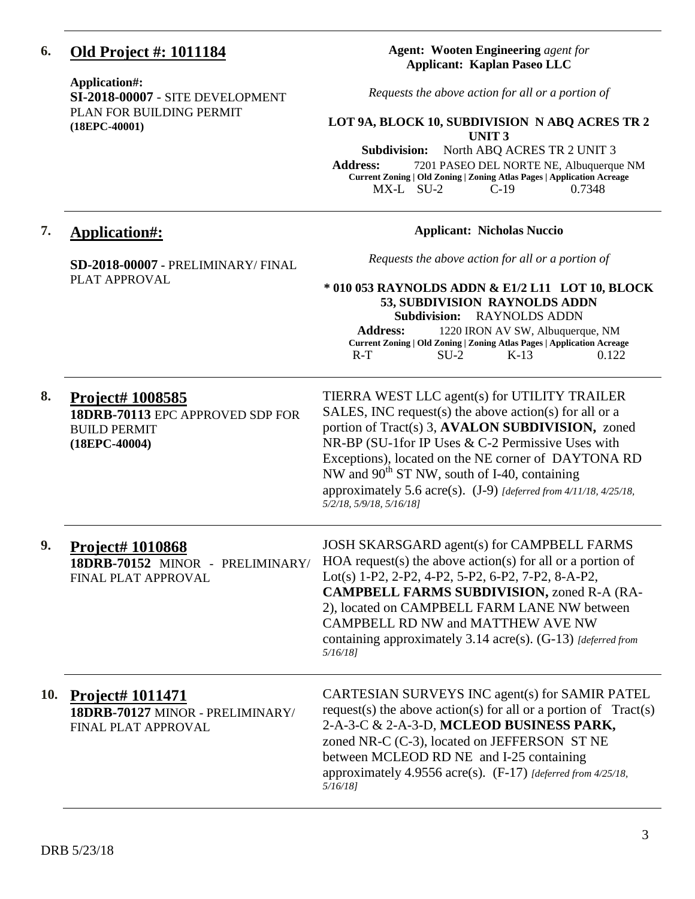### **6. Old Project #: 1011184**

#### **Application#:**

**SI-2018-00007** - SITE DEVELOPMENT PLAN FOR BUILDING PERMIT **(18EPC-40001)**

#### **Agent: Wooten Engineering** *agent for* **Applicant: Kaplan Paseo LLC**

*Requests the above action for all or a portion of*

#### **LOT 9A, BLOCK 10, SUBDIVISION N ABQ ACRES TR 2 UNIT 3**

**Subdivision:** North ABQ ACRES TR 2 UNIT 3

**Address:** 7201 PASEO DEL NORTE NE, Albuquerque NM **Current Zoning | Old Zoning | Zoning Atlas Pages | Application Acreage** MX-L SU-2 C-19 0.7348

### **7. Application#:**

#### **Applicant: Nicholas Nuccio**

**SD-2018-00007 -** PRELIMINARY/ FINAL PLAT APPROVAL

*Requests the above action for all or a portion of*

#### **\* 010 053 RAYNOLDS ADDN & E1/2 L11 LOT 10, BLOCK 53, SUBDIVISION RAYNOLDS ADDN Subdivision:** RAYNOLDS ADDN

**Address:** 1220 IRON AV SW, Albuquerque, NM **Current Zoning | Old Zoning | Zoning Atlas Pages | Application Acreage** R-T SU-2 K-13 0.122

| 8.  | Project# 1008585<br>18DRB-70113 EPC APPROVED SDP FOR<br><b>BUILD PERMIT</b><br>$(18EPC-40004)$ | TIERRA WEST LLC agent(s) for UTILITY TRAILER<br>SALES, INC request(s) the above action(s) for all or a<br>portion of Tract(s) 3, AVALON SUBDIVISION, zoned<br>NR-BP (SU-1for IP Uses & C-2 Permissive Uses with<br>Exceptions), located on the NE corner of DAYTONA RD<br>NW and $90^{th}$ ST NW, south of I-40, containing<br>approximately 5.6 acre(s). $(J-9)$ [deferred from 4/11/18, 4/25/18,<br>5/2/18, 5/9/18, 5/16/18] |
|-----|------------------------------------------------------------------------------------------------|--------------------------------------------------------------------------------------------------------------------------------------------------------------------------------------------------------------------------------------------------------------------------------------------------------------------------------------------------------------------------------------------------------------------------------|
| 9.  | <b>Project# 1010868</b><br>18DRB-70152 MINOR - PRELIMINARY/<br>FINAL PLAT APPROVAL             | JOSH SKARSGARD agent(s) for CAMPBELL FARMS<br>$HOA$ request(s) the above action(s) for all or a portion of<br>Lot(s) 1-P2, 2-P2, 4-P2, 5-P2, 6-P2, 7-P2, 8-A-P2,<br><b>CAMPBELL FARMS SUBDIVISION, zoned R-A (RA-</b><br>2), located on CAMPBELL FARM LANE NW between<br>CAMPBELL RD NW and MATTHEW AVE NW<br>containing approximately 3.14 $\arccos$ . (G-13) [deferred from<br>$5/16/18$ ]                                   |
| 10. | Project# 1011471<br>18DRB-70127 MINOR - PRELIMINARY/<br>FINAL PLAT APPROVAL                    | CARTESIAN SURVEYS INC agent(s) for SAMIR PATEL<br>request(s) the above action(s) for all or a portion of $Tract(s)$<br>2-A-3-C & 2-A-3-D, MCLEOD BUSINESS PARK,<br>zoned NR-C (C-3), located on JEFFERSON ST NE<br>between MCLEOD RD NE and I-25 containing<br>approximately 4.9556 acre(s). (F-17) [deferred from 4/25/18,<br>5/16/181                                                                                        |